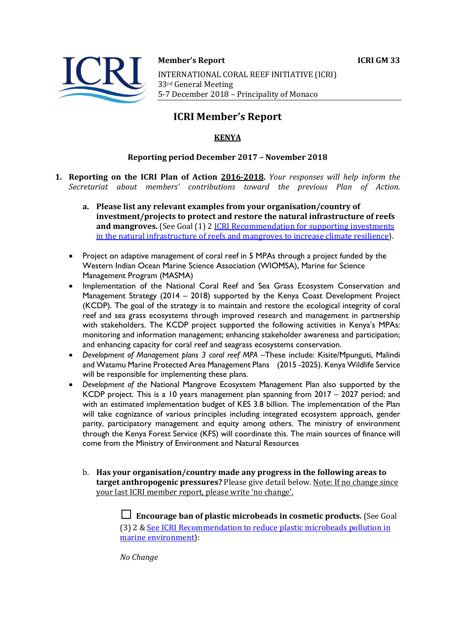

#### **Member's Report ICRI GM 33**

INTERNATIONAL CORAL REEF INITIATIVE (ICRI) 33rd General Meeting 5-7 December 2018 - Principality of Monaco

# **ICRI Member's Report**

## **KENYA**

### **Reporting period December 2017 - November 2018**

- **1. Reporting on the ICRI Plan of Action 2016-2018.** *Your responses will help inform the Secretariat about members' contributions toward the previous Plan of Action.*
	- a. Please list any relevant examples from your organisation/country of **investment/projects to protect and restore the natural infrastructure of reefs and mangroves.** (See Goal (1) 2 **ICRI** Recommendation for supporting investments in the natural infrastructure of reefs and mangroves to increase climate resilience).
	- Project on adaptive management of coral reef in 5 MPAs through a project funded by the Western Indian Ocean Marine Science Association (WIOMSA), Marine for Science Management Program (MASMA)
	- Implementation of the National Coral Reef and Sea Grass Ecosystem Conservation and Management Strategy (2014 – 2018) supported by the Kenya Coast Development Project (KCDP). The goal of the strategy is to maintain and restore the ecological integrity of coral reef and sea grass ecosystems through improved research and management in partnership with stakeholders. The KCDP project supported the following activities in Kenya's MPAs: monitoring and information management; enhancing stakeholder awareness and participation; and enhancing capacity for coral reef and seagrass ecosystems conservation.
	- *Development of Management plans 3 coral reef MPA –*These include: Kisite/Mpunguti, Malindi and Watamu Marine Protected Area Management Plans (2015 -2025). Kenya Wildlife Service will be responsible for implementing these plans.
	- *Development of the* National Mangrove Ecosystem Management Plan also supported by the KCDP project. This is a 10 years management plan spanning from 2017 – 2027 period; and with an estimated implementation budget of KES 3.8 billion. The implementation of the Plan will take cognizance of various principles including integrated ecosystem approach, gender parity, participatory management and equity among others. The ministry of environment through the Kenya Forest Service (KFS) will coordinate this. The main sources of finance will come from the Ministry of Environment and Natural Resources
		- b. Has your organisation/country made any progress in the following areas to **target anthropogenic pressures?** Please give detail below. Note: If no change since vour last ICRI member report, please write 'no change'.

 $\Box$  **Encourage ban of plastic microbeads in cosmetic products.** (See Goal (3) 2 & See ICRI Recommendation to reduce plastic microbeads pollution in marine environment):

*No Change*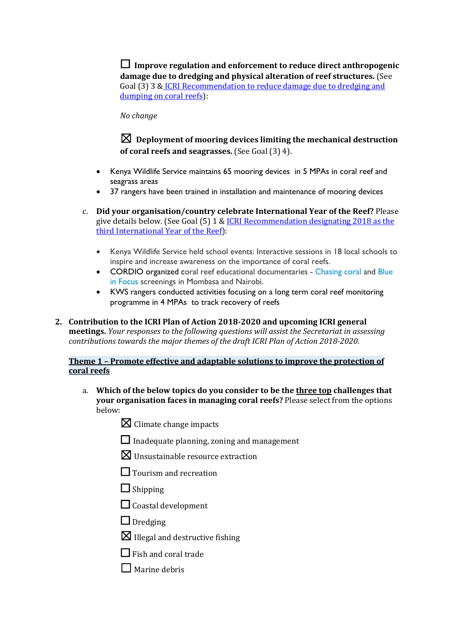$\Box$  Improve regulation and enforcement to reduce direct anthropogenic damage due to dredging and physical alteration of reef structures. (See Goal (3) 3 & ICRI Recommendation to reduce damage due to dredging and dumping on coral reefs):

*No change*

## $\boxtimes$  Deployment of mooring devices limiting the mechanical destruction **of coral reefs and seagrasses.** (See Goal (3) 4).

- Kenya Wildlife Service maintains 65 mooring devices in 5 MPAs in coral reef and seagrass areas
- 37 rangers have been trained in installation and maintenance of mooring devices
- c. **Did your organisation/country celebrate International Year of the Reef?** Please give details below. (See Goal  $(5)$  1 & ICRI Recommendation designating 2018 as the third International Year of the Reef):
	- Kenya Wildlife Service held school events: Interactive sessions in 18 local schools to inspire and increase awareness on the importance of coral reefs.
	- CORDIO organized coral reef educational documentaries Chasing coral and Blue in Focus screenings in Mombasa and Nairobi.
	- KWS rangers conducted activities focusing on a long term coral reef monitoring programme in 4 MPAs to track recovery of reefs
- 2. Contribution to the ICRI Plan of Action 2018-2020 and upcoming ICRI general **meetings.** *Your responses to the following questions will assist the Secretariat in assessing contributions towards the major themes of the draft ICRI Plan of Action 2018-2020.*

### **Theme 1 - Promote effective and adaptable solutions to improve the protection of coral reefs**

- a. Which of the below topics do you consider to be the three top challenges that **your organisation faces in managing coral reefs?** Please select from the options below:
	- $\boxtimes$  Climate change impacts
	- $\Box$  Inadequate planning, zoning and management
	- $\boxtimes$  Unsustainable resource extraction
	- $\Box$  Tourism and recreation
	- $\Box$  Shipping
	- $\Box$  Coastal development
	- $\Box$  Dredging
	- $\boxtimes$  Illegal and destructive fishing
	- $\Box$  Fish and coral trade
	- $\Box$  Marine debris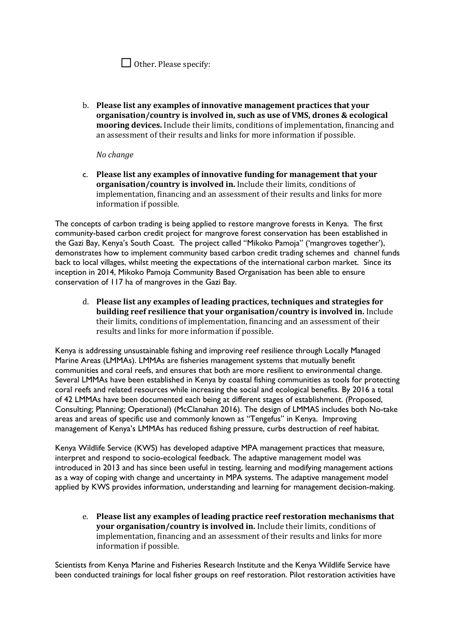| $\Box$ Other. Please specify: |  |
|-------------------------------|--|
|-------------------------------|--|

b. Please list any examples of innovative management practices that your **organisation/country is involved in, such as use of VMS, drones & ecological mooring devices.** Include their limits, conditions of implementation, financing and an assessment of their results and links for more information if possible.

#### *No change*

c. Please list any examples of innovative funding for management that your **organisation/country is involved in.** Include their limits, conditions of implementation, financing and an assessment of their results and links for more information if possible.

The concepts of carbon trading is being applied to restore mangrove forests in Kenya. The first community-based carbon credit project for mangrove forest conservation has been established in the Gazi Bay, Kenya's South Coast. The project called "Mikoko Pamoja" ('mangroves together'), demonstrates how to implement community based carbon credit trading schemes and channel funds back to local villages, whilst meeting the expectations of the international carbon market. Since its inception in 2014, Mikoko Pamoja Community Based Organisation has been able to ensure conservation of 117 ha of mangroves in the Gazi Bay.

d. Please list any examples of leading practices, techniques and strategies for **building reef resilience that your organisation/country is involved in.** Include their limits, conditions of implementation, financing and an assessment of their results and links for more information if possible.

Kenya is addressing unsustainable fishing and improving reef resilience through Locally Managed Marine Areas (LMMAs). LMMAs are fisheries management systems that mutually benefit communities and coral reefs, and ensures that both are more resilient to environmental change. Several LMMAs have been established in Kenya by coastal fishing communities as tools for protecting coral reefs and related resources while increasing the social and ecological benefits. By 2016 a total of 42 LMMAs have been documented each being at different stages of establishment. (Proposed, Consulting; Planning; Operational) (McClanahan 2016). The design of LMMAS includes both No-take areas and areas of specific use and commonly known as "Tengefus" in Kenya. Improving management of Kenya's LMMAs has reduced fishing pressure, curbs destruction of reef habitat.

Kenya Wildlife Service (KWS) has developed adaptive MPA management practices that measure, interpret and respond to socio-ecological feedback. The adaptive management model was introduced in 2013 and has since been useful in testing, learning and modifying management actions as a way of coping with change and uncertainty in MPA systems. The adaptive management model applied by KWS provides information, understanding and learning for management decision-making.

e. Please list any examples of leading practice reef restoration mechanisms that **your organisation/country is involved in.** Include their limits, conditions of implementation, financing and an assessment of their results and links for more information if possible.

Scientists from Kenya Marine and Fisheries Research Institute and the Kenya Wildlife Service have been conducted trainings for local fisher groups on reef restoration. Pilot restoration activities have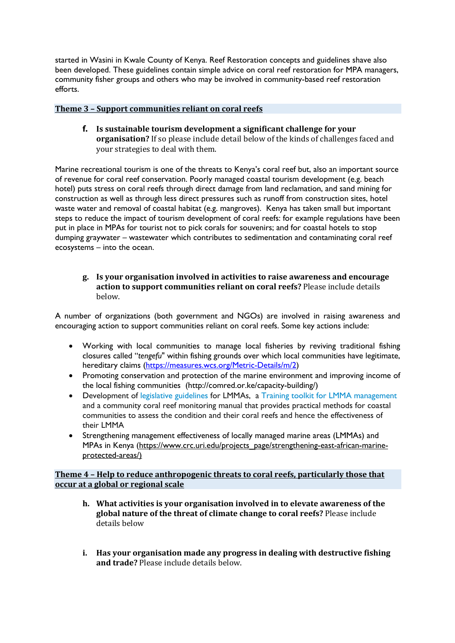started in Wasini in Kwale County of Kenya. Reef Restoration concepts and guidelines shave also been developed. These guidelines contain simple advice on coral reef restoration for MPA managers, community fisher groups and others who may be involved in community-based reef restoration efforts.

#### **Theme 3 - Support communities reliant on coral reefs**

**f.** Is sustainable tourism development a significant challenge for your **organisation?** If so please include detail below of the kinds of challenges faced and your strategies to deal with them.

Marine recreational tourism is one of the threats to Kenya's coral reef but, also an important source of revenue for coral reef conservation. Poorly managed coastal tourism development (e.g. beach hotel) puts stress on coral reefs through direct damage from land reclamation, and sand mining for construction as well as through less direct pressures such as runoff from construction sites, hotel waste water and removal of coastal habitat (e.g. mangroves). Kenya has taken small but important steps to reduce the impact of tourism development of coral reefs: for example regulations have been put in place in MPAs for tourist not to pick corals for souvenirs; and for coastal hotels to stop dumping graywater – wastewater which contributes to sedimentation and contaminating coral reef ecosystems – into the ocean.

#### **g. Is your organisation involved in activities to raise awareness and encourage**  action to support communities reliant on coral reefs? Please include details below.

A number of organizations (both government and NGOs) are involved in raising awareness and encouraging action to support communities reliant on coral reefs. Some key actions include:

- Working with local communities to manage local fisheries by reviving traditional fishing closures called "*tengefu*" within fishing grounds over which local communities have legitimate, hereditary claims (https://measures.wcs.org/Metric-Details/m/2)
- Promoting conservation and protection of the marine environment and improving income of the local fishing communities (http://comred.or.ke/capacity-building/)
- Development of legislative guidelines for LMMAs, a Training toolkit for LMMA management and a community coral reef monitoring manual that provides practical methods for coastal communities to assess the condition and their coral reefs and hence the effectiveness of their LMMA
- Strengthening management effectiveness of locally managed marine areas (LMMAs) and MPAs in Kenya (https://www.crc.uri.edu/projects\_page/strengthening-east-african-marineprotected-areas/)

### **Theme 4 - Help to reduce anthropogenic threats to coral reefs, particularly those that occur at a global or regional scale**

- **h.** What activities is your organisation involved in to elevate awareness of the global nature of the threat of climate change to coral reefs? Please include details below
- **i.** Has your organisation made any progress in dealing with destructive fishing **and trade?** Please include details below.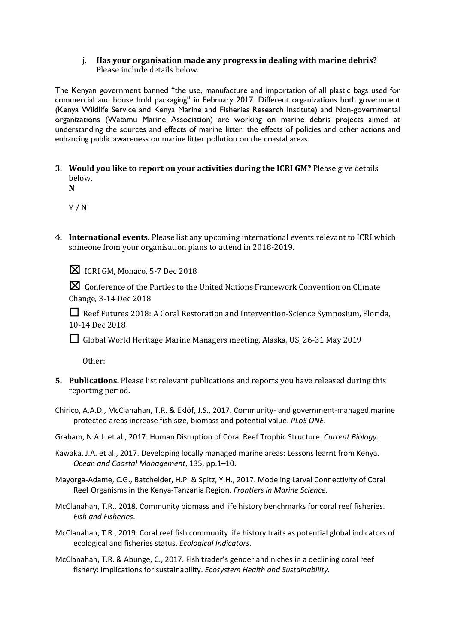#### i. Has your organisation made any progress in dealing with marine debris? Please include details below.

The Kenyan government banned "the use, manufacture and importation of all plastic bags used for commercial and house hold packaging" in February 2017. Different organizations both government (Kenya Wildlife Service and Kenya Marine and Fisheries Research Institute) and Non-governmental organizations (Watamu Marine Association) are working on marine debris projects aimed at understanding the sources and effects of marine litter, the effects of policies and other actions and enhancing public awareness on marine litter pollution on the coastal areas.

- **3.** Would you like to report on your activities during the ICRI GM? Please give details below.
	- **N**

Y / N

4. International events. Please list any upcoming international events relevant to ICRI which someone from your organisation plans to attend in 2018-2019.

 $\boxtimes$  ICRI GM, Monaco, 5-7 Dec 2018

☒Conference of the Parties to the United Nations Framework Convention on Climate Change, 3-14 Dec 2018

**□** Reef Futures 2018: A Coral Restoration and Intervention-Science Symposium, Florida, 10-14 Dec 2018

□ Global World Heritage Marine Managers meeting, Alaska, US, 26-31 May 2019

Other: 

- **5.** Publications. Please list relevant publications and reports you have released during this reporting period.
- Chirico, A.A.D., McClanahan, T.R. & Eklöf, J.S., 2017. Community- and government-managed marine protected areas increase fish size, biomass and potential value. *PLoS ONE*.
- Graham, N.A.J. et al., 2017. Human Disruption of Coral Reef Trophic Structure. *Current Biology*.
- Kawaka, J.A. et al., 2017. Developing locally managed marine areas: Lessons learnt from Kenya. *Ocean and Coastal Management*, 135, pp.1–10.
- Mayorga-Adame, C.G., Batchelder, H.P. & Spitz, Y.H., 2017. Modeling Larval Connectivity of Coral Reef Organisms in the Kenya-Tanzania Region. *Frontiers in Marine Science*.
- McClanahan, T.R., 2018. Community biomass and life history benchmarks for coral reef fisheries. *Fish and Fisheries*.
- McClanahan, T.R., 2019. Coral reef fish community life history traits as potential global indicators of ecological and fisheries status. *Ecological Indicators*.
- McClanahan, T.R. & Abunge, C., 2017. Fish trader's gender and niches in a declining coral reef fishery: implications for sustainability. *Ecosystem Health and Sustainability*.